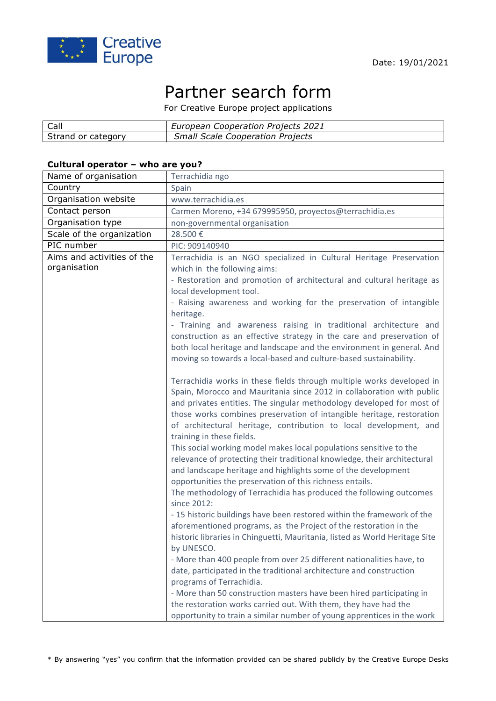

# Partner search form

For Creative Europe project applications

| Call               | European Cooperation Projects 2021      |
|--------------------|-----------------------------------------|
| Strand or category | <b>Small Scale Cooperation Projects</b> |

### **Cultural operator – who are you?**

| Name of organisation       | Terrachidia ngo                                                                                                                             |
|----------------------------|---------------------------------------------------------------------------------------------------------------------------------------------|
| Country                    | Spain                                                                                                                                       |
| Organisation website       | www.terrachidia.es                                                                                                                          |
| Contact person             | Carmen Moreno, +34 679995950, proyectos@terrachidia.es                                                                                      |
| Organisation type          | non-governmental organisation                                                                                                               |
| Scale of the organization  | 28.500€                                                                                                                                     |
| PIC number                 | PIC: 909140940                                                                                                                              |
| Aims and activities of the | Terrachidia is an NGO specialized in Cultural Heritage Preservation                                                                         |
| organisation               | which in the following aims:                                                                                                                |
|                            | - Restoration and promotion of architectural and cultural heritage as                                                                       |
|                            | local development tool.                                                                                                                     |
|                            | - Raising awareness and working for the preservation of intangible                                                                          |
|                            | heritage.                                                                                                                                   |
|                            | - Training and awareness raising in traditional architecture and                                                                            |
|                            | construction as an effective strategy in the care and preservation of                                                                       |
|                            | both local heritage and landscape and the environment in general. And                                                                       |
|                            | moving so towards a local-based and culture-based sustainability.                                                                           |
|                            |                                                                                                                                             |
|                            | Terrachidia works in these fields through multiple works developed in                                                                       |
|                            | Spain, Morocco and Mauritania since 2012 in collaboration with public                                                                       |
|                            | and privates entities. The singular methodology developed for most of                                                                       |
|                            | those works combines preservation of intangible heritage, restoration                                                                       |
|                            | of architectural heritage, contribution to local development, and                                                                           |
|                            | training in these fields.                                                                                                                   |
|                            | This social working model makes local populations sensitive to the                                                                          |
|                            | relevance of protecting their traditional knowledge, their architectural                                                                    |
|                            | and landscape heritage and highlights some of the development                                                                               |
|                            | opportunities the preservation of this richness entails.                                                                                    |
|                            | The methodology of Terrachidia has produced the following outcomes<br>since 2012:                                                           |
|                            |                                                                                                                                             |
|                            | - 15 historic buildings have been restored within the framework of the<br>aforementioned programs, as the Project of the restoration in the |
|                            |                                                                                                                                             |
|                            | historic libraries in Chinguetti, Mauritania, listed as World Heritage Site                                                                 |
|                            | by UNESCO.<br>- More than 400 people from over 25 different nationalities have, to                                                          |
|                            | date, participated in the traditional architecture and construction                                                                         |
|                            | programs of Terrachidia.                                                                                                                    |
|                            | - More than 50 construction masters have been hired participating in                                                                        |
|                            | the restoration works carried out. With them, they have had the                                                                             |
|                            | opportunity to train a similar number of young apprentices in the work                                                                      |
|                            |                                                                                                                                             |